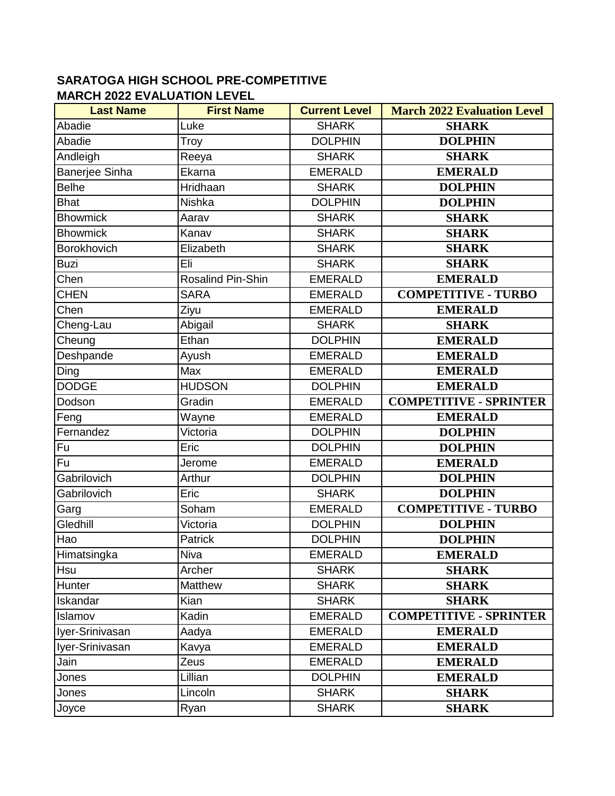## **SARATOGA HIGH SCHOOL PRE-COMPETITIVE MARCH 2022 EVALUATION LEVEL**

| <b>Last Name</b>      | <b>First Name</b> | <b>Current Level</b> | <b>March 2022 Evaluation Level</b> |
|-----------------------|-------------------|----------------------|------------------------------------|
| Abadie                | Luke              | <b>SHARK</b>         | <b>SHARK</b>                       |
| Abadie                | Troy              | <b>DOLPHIN</b>       | <b>DOLPHIN</b>                     |
| Andleigh              | Reeya             | <b>SHARK</b>         | <b>SHARK</b>                       |
| <b>Banerjee Sinha</b> | Ekarna            | <b>EMERALD</b>       | <b>EMERALD</b>                     |
| <b>Belhe</b>          | Hridhaan          | <b>SHARK</b>         | <b>DOLPHIN</b>                     |
| <b>Bhat</b>           | Nishka            | <b>DOLPHIN</b>       | <b>DOLPHIN</b>                     |
| <b>Bhowmick</b>       | Aarav             | <b>SHARK</b>         | <b>SHARK</b>                       |
| <b>Bhowmick</b>       | Kanav             | <b>SHARK</b>         | <b>SHARK</b>                       |
| Borokhovich           | Elizabeth         | <b>SHARK</b>         | <b>SHARK</b>                       |
| <b>Buzi</b>           | Eli               | <b>SHARK</b>         | <b>SHARK</b>                       |
| Chen                  | Rosalind Pin-Shin | <b>EMERALD</b>       | <b>EMERALD</b>                     |
| <b>CHEN</b>           | <b>SARA</b>       | <b>EMERALD</b>       | <b>COMPETITIVE - TURBO</b>         |
| Chen                  | Ziyu              | <b>EMERALD</b>       | <b>EMERALD</b>                     |
| Cheng-Lau             | Abigail           | <b>SHARK</b>         | <b>SHARK</b>                       |
| Cheung                | Ethan             | <b>DOLPHIN</b>       | <b>EMERALD</b>                     |
| Deshpande             | Ayush             | <b>EMERALD</b>       | <b>EMERALD</b>                     |
| Ding                  | Max               | <b>EMERALD</b>       | <b>EMERALD</b>                     |
| <b>DODGE</b>          | <b>HUDSON</b>     | <b>DOLPHIN</b>       | <b>EMERALD</b>                     |
| Dodson                | Gradin            | <b>EMERALD</b>       | <b>COMPETITIVE - SPRINTER</b>      |
| Feng                  | Wayne             | <b>EMERALD</b>       | <b>EMERALD</b>                     |
| Fernandez             | Victoria          | <b>DOLPHIN</b>       | <b>DOLPHIN</b>                     |
| Fu                    | Eric              | <b>DOLPHIN</b>       | <b>DOLPHIN</b>                     |
| <b>Fu</b>             | Jerome            | <b>EMERALD</b>       | <b>EMERALD</b>                     |
| Gabrilovich           | Arthur            | <b>DOLPHIN</b>       | <b>DOLPHIN</b>                     |
| Gabrilovich           | Eric              | <b>SHARK</b>         | <b>DOLPHIN</b>                     |
| Garg                  | Soham             | <b>EMERALD</b>       | <b>COMPETITIVE - TURBO</b>         |
| Gledhill              | Victoria          | <b>DOLPHIN</b>       | <b>DOLPHIN</b>                     |
| Hao                   | <b>Patrick</b>    | <b>DOLPHIN</b>       | <b>DOLPHIN</b>                     |
| Himatsingka           | Niva              | <b>EMERALD</b>       | <b>EMERALD</b>                     |
| Hsu                   | Archer            | <b>SHARK</b>         | <b>SHARK</b>                       |
| Hunter                | Matthew           | <b>SHARK</b>         | <b>SHARK</b>                       |
| Iskandar              | Kian              | <b>SHARK</b>         | <b>SHARK</b>                       |
| Islamov               | Kadin             | <b>EMERALD</b>       | <b>COMPETITIVE - SPRINTER</b>      |
| Iyer-Srinivasan       | Aadya             | <b>EMERALD</b>       | <b>EMERALD</b>                     |
| Iyer-Srinivasan       | Kavya             | <b>EMERALD</b>       | <b>EMERALD</b>                     |
| Jain                  | Zeus              | <b>EMERALD</b>       | <b>EMERALD</b>                     |
| Jones                 | Lillian           | <b>DOLPHIN</b>       | <b>EMERALD</b>                     |
| Jones                 | Lincoln           | <b>SHARK</b>         | <b>SHARK</b>                       |
| Joyce                 | Ryan              | <b>SHARK</b>         | <b>SHARK</b>                       |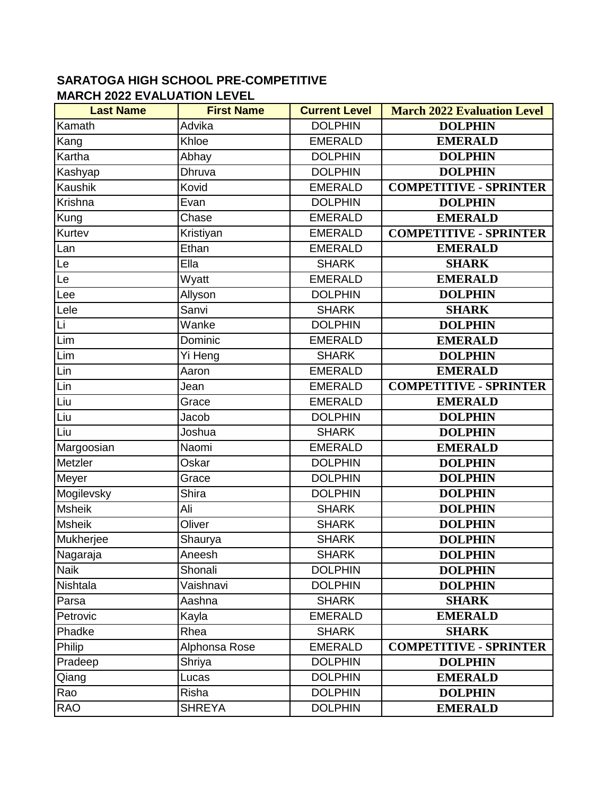## **SARATOGA HIGH SCHOOL PRE-COMPETITIVE MARCH 2022 EVALUATION LEVEL**

| <b>Last Name</b> | <b>First Name</b> | <b>Current Level</b> | <b>March 2022 Evaluation Level</b> |
|------------------|-------------------|----------------------|------------------------------------|
| Kamath           | Advika            | <b>DOLPHIN</b>       | <b>DOLPHIN</b>                     |
| Kang             | Khloe             | <b>EMERALD</b>       | <b>EMERALD</b>                     |
| Kartha           | Abhay             | <b>DOLPHIN</b>       | <b>DOLPHIN</b>                     |
| Kashyap          | Dhruva            | <b>DOLPHIN</b>       | <b>DOLPHIN</b>                     |
| Kaushik          | Kovid             | <b>EMERALD</b>       | <b>COMPETITIVE - SPRINTER</b>      |
| Krishna          | Evan              | <b>DOLPHIN</b>       | <b>DOLPHIN</b>                     |
| Kung             | Chase             | <b>EMERALD</b>       | <b>EMERALD</b>                     |
| Kurtev           | Kristiyan         | <b>EMERALD</b>       | <b>COMPETITIVE - SPRINTER</b>      |
| Lan              | Ethan             | <b>EMERALD</b>       | <b>EMERALD</b>                     |
| Le               | Ella              | <b>SHARK</b>         | <b>SHARK</b>                       |
| Le               | Wyatt             | <b>EMERALD</b>       | <b>EMERALD</b>                     |
| Lee              | Allyson           | <b>DOLPHIN</b>       | <b>DOLPHIN</b>                     |
| Lele             | Sanvi             | <b>SHARK</b>         | <b>SHARK</b>                       |
| Li               | Wanke             | <b>DOLPHIN</b>       | <b>DOLPHIN</b>                     |
| Lim              | Dominic           | <b>EMERALD</b>       | <b>EMERALD</b>                     |
| Lim              | Yi Heng           | <b>SHARK</b>         | <b>DOLPHIN</b>                     |
| Lin              | Aaron             | <b>EMERALD</b>       | <b>EMERALD</b>                     |
| Lin              | Jean              | <b>EMERALD</b>       | <b>COMPETITIVE - SPRINTER</b>      |
| Liu              | Grace             | <b>EMERALD</b>       | <b>EMERALD</b>                     |
| lLiu             | Jacob             | <b>DOLPHIN</b>       | <b>DOLPHIN</b>                     |
| Liu              | Joshua            | <b>SHARK</b>         | <b>DOLPHIN</b>                     |
| Margoosian       | Naomi             | <b>EMERALD</b>       | <b>EMERALD</b>                     |
| Metzler          | Oskar             | <b>DOLPHIN</b>       | <b>DOLPHIN</b>                     |
| Meyer            | Grace             | <b>DOLPHIN</b>       | <b>DOLPHIN</b>                     |
| Mogilevsky       | Shira             | <b>DOLPHIN</b>       | <b>DOLPHIN</b>                     |
| <b>Msheik</b>    | Ali               | <b>SHARK</b>         | <b>DOLPHIN</b>                     |
| <b>Msheik</b>    | Oliver            | <b>SHARK</b>         | <b>DOLPHIN</b>                     |
| Mukherjee        | Shaurya           | <b>SHARK</b>         | <b>DOLPHIN</b>                     |
| Nagaraja         | <b>Aneesh</b>     | <b>SHARK</b>         | <b>DOLPHIN</b>                     |
| <b>Naik</b>      | Shonali           | <b>DOLPHIN</b>       | <b>DOLPHIN</b>                     |
| Nishtala         | Vaishnavi         | <b>DOLPHIN</b>       | <b>DOLPHIN</b>                     |
| Parsa            | Aashna            | <b>SHARK</b>         | <b>SHARK</b>                       |
| Petrovic         | Kayla             | <b>EMERALD</b>       | <b>EMERALD</b>                     |
| Phadke           | Rhea              | <b>SHARK</b>         | <b>SHARK</b>                       |
| Philip           | Alphonsa Rose     | <b>EMERALD</b>       | <b>COMPETITIVE - SPRINTER</b>      |
| Pradeep          | Shriya            | <b>DOLPHIN</b>       | <b>DOLPHIN</b>                     |
| Qiang            | Lucas             | <b>DOLPHIN</b>       | <b>EMERALD</b>                     |
| Rao              | Risha             | <b>DOLPHIN</b>       | <b>DOLPHIN</b>                     |
| <b>RAO</b>       | <b>SHREYA</b>     | <b>DOLPHIN</b>       | <b>EMERALD</b>                     |